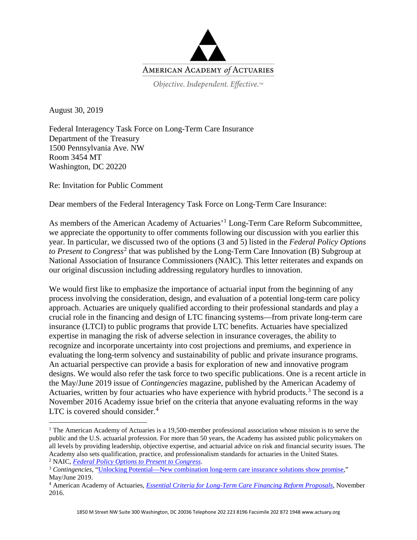

Objective. Independent. Effective.™

August 30, 2019

Federal Interagency Task Force on Long-Term Care Insurance Department of the Treasury 1500 Pennsylvania Ave. NW Room 3454 MT Washington, DC 20220

Re: Invitation for Public Comment

Dear members of the Federal Interagency Task Force on Long-Term Care Insurance:

As members of the American Academy of Actuaries'<sup>[1](#page-0-0)</sup> Long-Term Care Reform Subcommittee, we appreciate the opportunity to offer comments following our discussion with you earlier this year. In particular, we discussed two of the options (3 and 5) listed in the *Federal Policy Options to Present to Congress*<sup>[2](#page-0-1)</sup> that was published by the Long-Term Care Innovation (B) Subgroup at National Association of Insurance Commissioners (NAIC). This letter reiterates and expands on our original discussion including addressing regulatory hurdles to innovation.

We would first like to emphasize the importance of actuarial input from the beginning of any process involving the consideration, design, and evaluation of a potential long-term care policy approach. Actuaries are uniquely qualified according to their professional standards and play a crucial role in the financing and design of LTC financing systems—from private long-term care insurance (LTCI) to public programs that provide LTC benefits. Actuaries have specialized expertise in managing the risk of adverse selection in insurance coverages, the ability to recognize and incorporate uncertainty into cost projections and premiums, and experience in evaluating the long-term solvency and sustainability of public and private insurance programs. An actuarial perspective can provide a basis for exploration of new and innovative program designs. We would also refer the task force to two specific publications. One is a recent article in the May/June 2019 issue of *Contingencies* magazine, published by the American Academy of Actuaries, written by four actuaries who have experience with hybrid products.<sup>[3](#page-0-2)</sup> The second is a November 2016 Academy issue brief on the criteria that anyone evaluating reforms in the way LTC is covered should consider. [4](#page-0-3)

<span id="page-0-0"></span><sup>&</sup>lt;sup>1</sup> The American Academy of Actuaries is a 19,500-member professional association whose mission is to serve the public and the U.S. actuarial profession. For more than 50 years, the Academy has assisted public policymakers on all levels by providing leadership, objective expertise, and actuarial advice on risk and financial security issues. The Academy also sets qualification, practice, and professionalism standards for actuaries in the United States. <sup>2</sup> NAIC, *[Federal Policy Options to Present to Congress](https://naic-cms.org/sites/default/files/inline-files/cmte_e_res_mech_wg_related_federal_policy_issues.pdf)*.

<span id="page-0-2"></span><span id="page-0-1"></span><sup>3</sup> *Contingencies*, ["Unlocking Potential—New combination long-term care insurance solutions show promise,](http://contingencies.org/unlocking-potential-new-combination-long-term-care-insurance-solutions-show-promise/)" May/June 2019.

<span id="page-0-3"></span><sup>4</sup> American Academy of Actuaries, *[Essential Criteria for Long-Term Care Financing Reform Proposals](https://www.actuary.org/sites/default/files/files/publications/Essential_Criteria_for_Long-Term_Care_Financing_Reform_Proposals_112916.pdf)*, November 2016.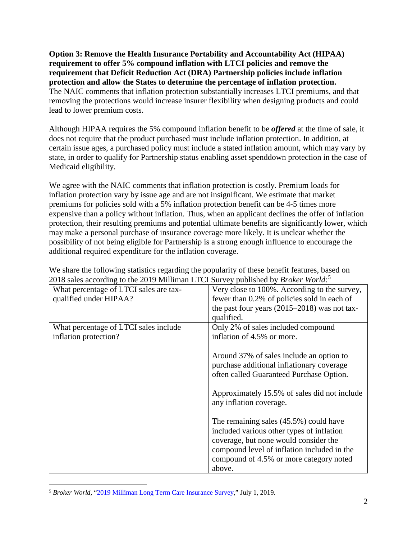**Option 3: Remove the Health Insurance Portability and Accountability Act (HIPAA) requirement to offer 5% compound inflation with LTCI policies and remove the requirement that Deficit Reduction Act (DRA) Partnership policies include inflation protection and allow the States to determine the percentage of inflation protection.**  The NAIC comments that inflation protection substantially increases LTCI premiums, and that removing the protections would increase insurer flexibility when designing products and could lead to lower premium costs.

Although HIPAA requires the 5% compound inflation benefit to be *offered* at the time of sale, it does not require that the product purchased must include inflation protection. In addition, at certain issue ages, a purchased policy must include a stated inflation amount, which may vary by state, in order to qualify for Partnership status enabling asset spenddown protection in the case of Medicaid eligibility.

We agree with the NAIC comments that inflation protection is costly. Premium loads for inflation protection vary by issue age and are not insignificant. We estimate that market premiums for policies sold with a 5% inflation protection benefit can be 4-5 times more expensive than a policy without inflation. Thus, when an applicant declines the offer of inflation protection, their resulting premiums and potential ultimate benefits are significantly lower, which may make a personal purchase of insurance coverage more likely. It is unclear whether the possibility of not being eligible for Partnership is a strong enough influence to encourage the additional required expenditure for the inflation coverage.

| $2010$ sures according to the 2017 minimum ETCI but (e) published by Drown World. |                                                |
|-----------------------------------------------------------------------------------|------------------------------------------------|
| What percentage of LTCI sales are tax-                                            | Very close to 100%. According to the survey,   |
| qualified under HIPAA?                                                            | fewer than 0.2% of policies sold in each of    |
|                                                                                   | the past four years $(2015-2018)$ was not tax- |
|                                                                                   | qualified.                                     |
| What percentage of LTCI sales include                                             | Only 2% of sales included compound             |
| inflation protection?                                                             | inflation of 4.5% or more.                     |
|                                                                                   |                                                |
|                                                                                   | Around 37% of sales include an option to       |
|                                                                                   | purchase additional inflationary coverage      |
|                                                                                   | often called Guaranteed Purchase Option.       |
|                                                                                   |                                                |
|                                                                                   | Approximately 15.5% of sales did not include   |
|                                                                                   | any inflation coverage.                        |
|                                                                                   |                                                |
|                                                                                   | The remaining sales $(45.5\%)$ could have      |
|                                                                                   | included various other types of inflation      |
|                                                                                   | coverage, but none would consider the          |
|                                                                                   | compound level of inflation included in the    |
|                                                                                   | compound of 4.5% or more category noted        |
|                                                                                   | above.                                         |
|                                                                                   |                                                |

We share the following statistics regarding the popularity of these benefit features, based on 2018 sales according to the 2019 Milliman LTCI Survey published by *Broker World*: [5](#page-1-0)

<span id="page-1-0"></span> <sup>5</sup> *Broker World*, ["2019 Milliman Long Term Care Insurance Survey,"](https://brokerworldmag.com/2019-milliman-long-term-care-insurance-survey/) July 1, 2019.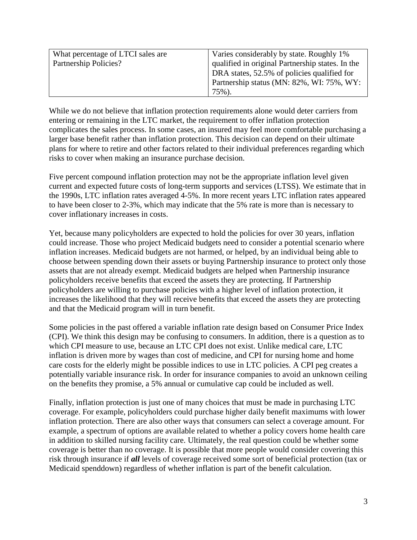| What percentage of LTCI sales are | Varies considerably by state. Roughly 1%         |
|-----------------------------------|--------------------------------------------------|
| Partnership Policies?             | qualified in original Partnership states. In the |
|                                   | DRA states, 52.5% of policies qualified for      |
|                                   | Partnership status (MN: 82%, WI: 75%, WY:        |
|                                   | 75%).                                            |

While we do not believe that inflation protection requirements alone would deter carriers from entering or remaining in the LTC market, the requirement to offer inflation protection complicates the sales process. In some cases, an insured may feel more comfortable purchasing a larger base benefit rather than inflation protection. This decision can depend on their ultimate plans for where to retire and other factors related to their individual preferences regarding which risks to cover when making an insurance purchase decision.

Five percent compound inflation protection may not be the appropriate inflation level given current and expected future costs of long-term supports and services (LTSS). We estimate that in the 1990s, LTC inflation rates averaged 4-5%. In more recent years LTC inflation rates appeared to have been closer to 2-3%, which may indicate that the 5% rate is more than is necessary to cover inflationary increases in costs.

Yet, because many policyholders are expected to hold the policies for over 30 years, inflation could increase. Those who project Medicaid budgets need to consider a potential scenario where inflation increases. Medicaid budgets are not harmed, or helped, by an individual being able to choose between spending down their assets or buying Partnership insurance to protect only those assets that are not already exempt. Medicaid budgets are helped when Partnership insurance policyholders receive benefits that exceed the assets they are protecting. If Partnership policyholders are willing to purchase policies with a higher level of inflation protection, it increases the likelihood that they will receive benefits that exceed the assets they are protecting and that the Medicaid program will in turn benefit.

Some policies in the past offered a variable inflation rate design based on Consumer Price Index (CPI). We think this design may be confusing to consumers. In addition, there is a question as to which CPI measure to use, because an LTC CPI does not exist. Unlike medical care, LTC inflation is driven more by wages than cost of medicine, and CPI for nursing home and home care costs for the elderly might be possible indices to use in LTC policies. A CPI peg creates a potentially variable insurance risk. In order for insurance companies to avoid an unknown ceiling on the benefits they promise, a 5% annual or cumulative cap could be included as well.

Finally, inflation protection is just one of many choices that must be made in purchasing LTC coverage. For example, policyholders could purchase higher daily benefit maximums with lower inflation protection. There are also other ways that consumers can select a coverage amount. For example, a spectrum of options are available related to whether a policy covers home health care in addition to skilled nursing facility care. Ultimately, the real question could be whether some coverage is better than no coverage. It is possible that more people would consider covering this risk through insurance if *all* levels of coverage received some sort of beneficial protection (tax or Medicaid spenddown) regardless of whether inflation is part of the benefit calculation.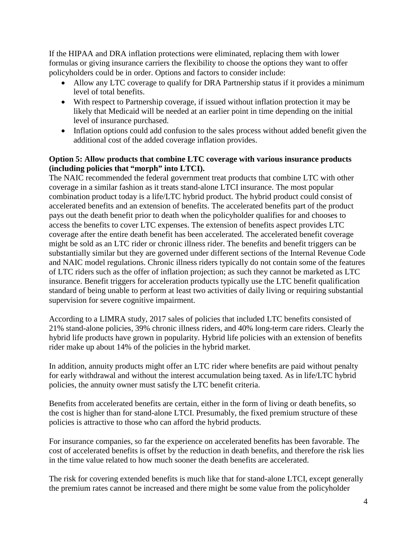If the HIPAA and DRA inflation protections were eliminated, replacing them with lower formulas or giving insurance carriers the flexibility to choose the options they want to offer policyholders could be in order. Options and factors to consider include:

- Allow any LTC coverage to qualify for DRA Partnership status if it provides a minimum level of total benefits.
- With respect to Partnership coverage, if issued without inflation protection it may be likely that Medicaid will be needed at an earlier point in time depending on the initial level of insurance purchased.
- Inflation options could add confusion to the sales process without added benefit given the additional cost of the added coverage inflation provides.

## **Option 5: Allow products that combine LTC coverage with various insurance products (including policies that "morph" into LTCI).**

The NAIC recommended the federal government treat products that combine LTC with other coverage in a similar fashion as it treats stand-alone LTCI insurance. The most popular combination product today is a life/LTC hybrid product. The hybrid product could consist of accelerated benefits and an extension of benefits. The accelerated benefits part of the product pays out the death benefit prior to death when the policyholder qualifies for and chooses to access the benefits to cover LTC expenses. The extension of benefits aspect provides LTC coverage after the entire death benefit has been accelerated. The accelerated benefit coverage might be sold as an LTC rider or chronic illness rider. The benefits and benefit triggers can be substantially similar but they are governed under different sections of the Internal Revenue Code and NAIC model regulations. Chronic illness riders typically do not contain some of the features of LTC riders such as the offer of inflation projection; as such they cannot be marketed as LTC insurance. Benefit triggers for acceleration products typically use the LTC benefit qualification standard of being unable to perform at least two activities of daily living or requiring substantial supervision for severe cognitive impairment.

According to a LIMRA study, 2017 sales of policies that included LTC benefits consisted of 21% stand-alone policies, 39% chronic illness riders, and 40% long-term care riders. Clearly the hybrid life products have grown in popularity. Hybrid life policies with an extension of benefits rider make up about 14% of the policies in the hybrid market.

In addition, annuity products might offer an LTC rider where benefits are paid without penalty for early withdrawal and without the interest accumulation being taxed. As in life/LTC hybrid policies, the annuity owner must satisfy the LTC benefit criteria.

Benefits from accelerated benefits are certain, either in the form of living or death benefits, so the cost is higher than for stand-alone LTCI. Presumably, the fixed premium structure of these policies is attractive to those who can afford the hybrid products.

For insurance companies, so far the experience on accelerated benefits has been favorable. The cost of accelerated benefits is offset by the reduction in death benefits, and therefore the risk lies in the time value related to how much sooner the death benefits are accelerated.

The risk for covering extended benefits is much like that for stand-alone LTCI, except generally the premium rates cannot be increased and there might be some value from the policyholder